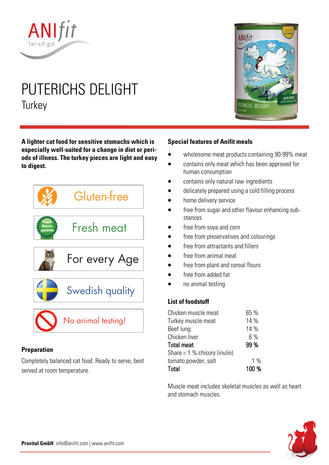

# PUTERICHS DELIGHT **Turkey**

**A lighter cat food for sensitive stomachs which is especially well-suited for a change in diet or periods of illness. The turkey pieces are light and easy to digest.** 



## **Preparation**

Completely balanced cat food. Ready to serve, best served at room temperature.

# **ANIfit JTERICHS DELIGH**

## **Special features of Anifit meals**

- wholesome meat products containing 90-99% meat
- contains only meat which has been approved for human consumption
- contains only natural raw ingredients
- delicately prepared using a cold filling process
- home delivery service
- free from sugar and other flavour enhancing substances
- free from soya and corn
- free from preservatives and colourings
- free from attractants and fillers
- free from animal meal
- free from plant and cereal flours
- free from added fat
- no animal testing

## **List of foodstuff**

| Chicken muscle meat            | 65 %  |
|--------------------------------|-------|
| Turkey muscle meat             | 14 %  |
| Beef lung                      | 14 %  |
| Chicken liver                  | $6\%$ |
| <b>Total meat</b>              | 99 %  |
| Share $< 1$ % chicory (inulin) |       |
| tomato powder, salt            | $1\%$ |
| Total                          | 100 % |

Muscle meat includes skeletal muscles as well as heart and stomach muscles.